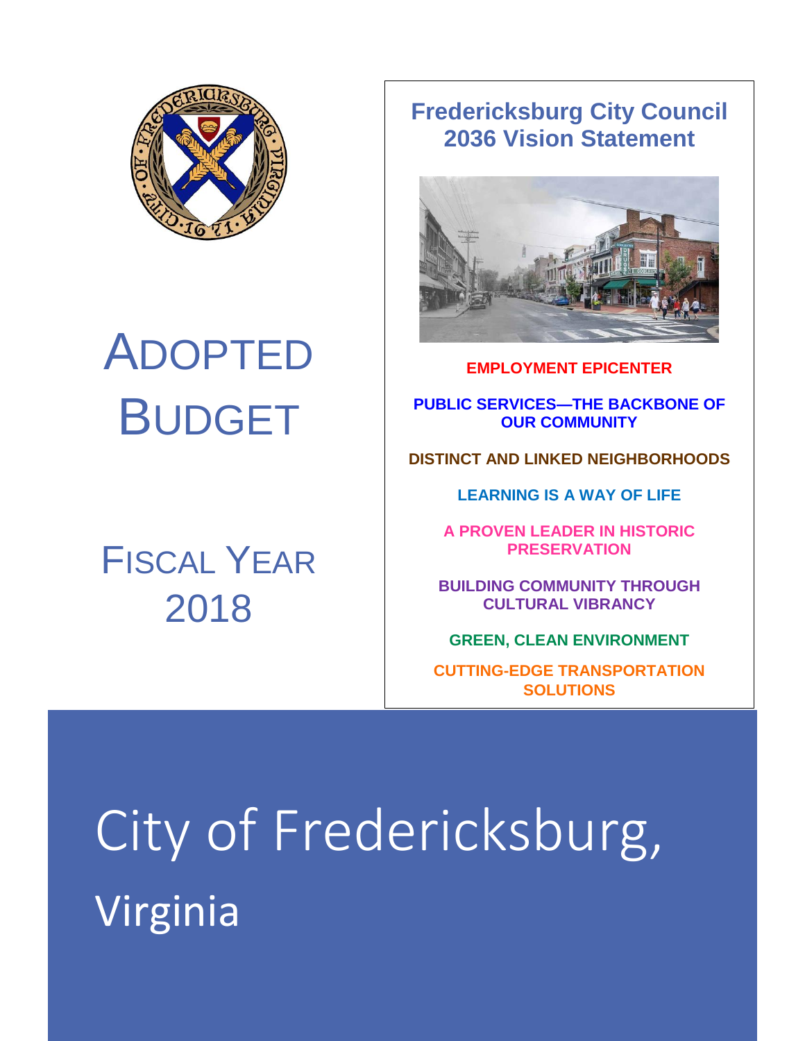

# ADOPTED BUDGET

## FISCAL YEAR 2018

### **Fredericksburg City Council 2036 Vision Statement**



**EMPLOYMENT EPICENTER**

**PUBLIC SERVICES—THE BACKBONE OF OUR COMMUNITY**

**DISTINCT AND LINKED NEIGHBORHOODS**

**LEARNING IS A WAY OF LIFE**

**A PROVEN LEADER IN HISTORIC PRESERVATION**

**BUILDING COMMUNITY THROUGH CULTURAL VIBRANCY**

**GREEN, CLEAN ENVIRONMENT**

**CUTTING-EDGE TRANSPORTATION SOLUTIONS**

City of Fredericksburg, Virginia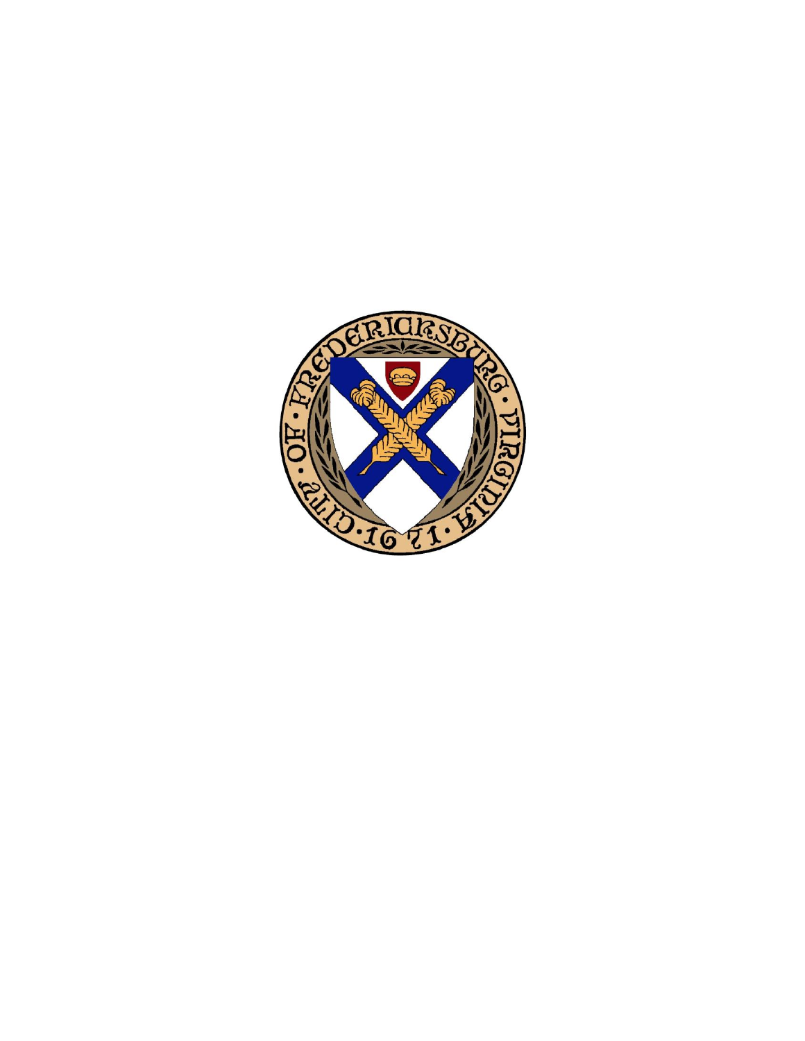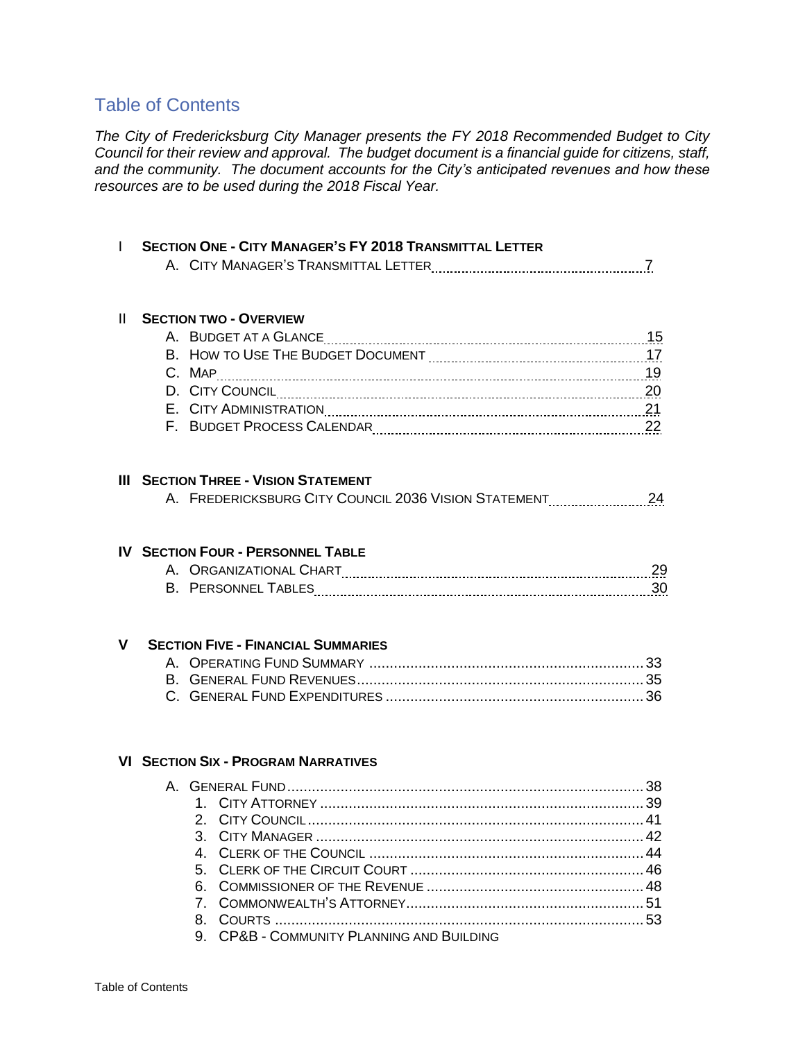#### Table of Contents

*The City of Fredericksburg City Manager presents the FY 2018 Recommended Budget to City Council for their review and approval. The budget document is a financial guide for citizens, staff, and the community. The document accounts for the City's anticipated revenues and how these resources are to be used during the 2018 Fiscal Year.* 

|   | <b>SECTION ONE - CITY MANAGER'S FY 2018 TRANSMITTAL LETTER</b> |    |
|---|----------------------------------------------------------------|----|
|   |                                                                |    |
|   |                                                                |    |
|   |                                                                |    |
| Ш | <b>SECTION TWO - OVERVIEW</b>                                  |    |
|   |                                                                | 15 |
|   |                                                                |    |
|   |                                                                | 19 |
|   |                                                                | 20 |
|   |                                                                | 21 |
|   |                                                                |    |
|   |                                                                |    |
| ш | <b>SECTION THREE - VISION STATEMENT</b>                        |    |
|   |                                                                |    |
|   | A. FREDERICKSBURG CITY COUNCIL 2036 VISION STATEMENT           | 24 |
|   |                                                                |    |
|   | <b>IV SECTION FOUR - PERSONNEL TABLE</b>                       |    |
|   |                                                                | 29 |
|   |                                                                | 30 |
|   |                                                                |    |

#### **V SECTION FIVE - FINANCIAL SUMMARIES**

#### **VI SECTION SIX - PROGRAM NARRATIVES**

|  | 9. CP&B - COMMUNITY PLANNING AND BUILDING |  |
|--|-------------------------------------------|--|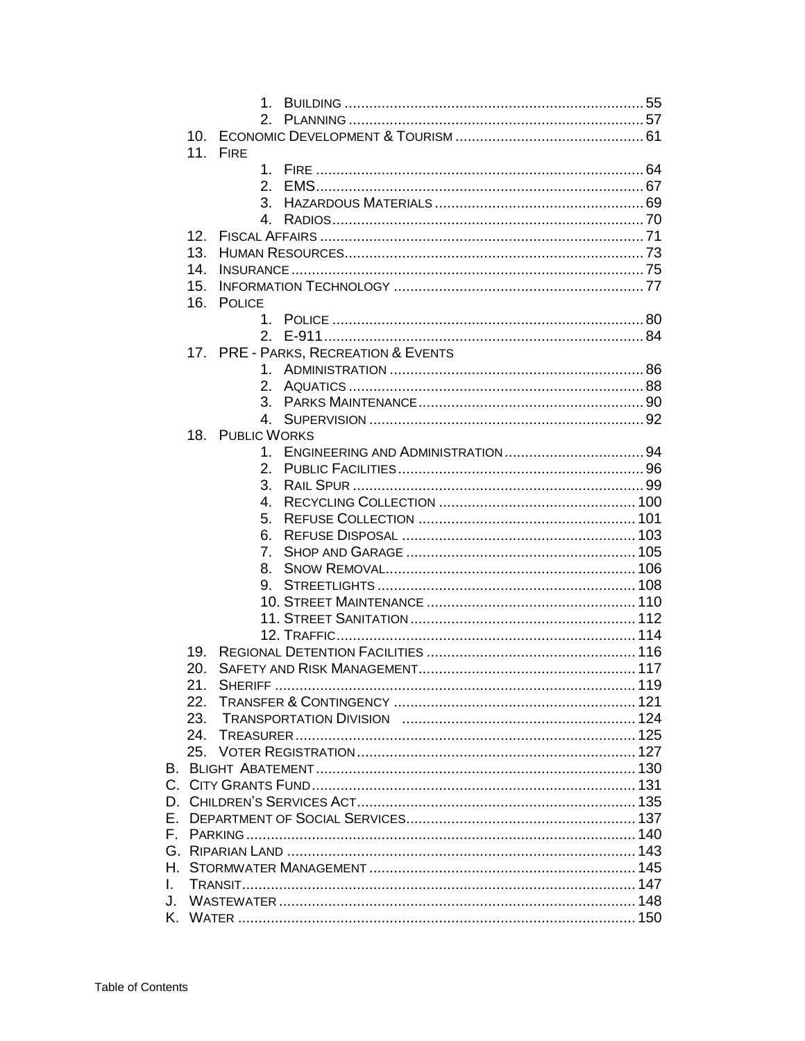|    | 10 <sub>1</sub> |                                      |  |
|----|-----------------|--------------------------------------|--|
|    |                 | 11. FIRE                             |  |
|    |                 |                                      |  |
|    |                 | $2^{\circ}$                          |  |
|    |                 | 3.                                   |  |
|    |                 |                                      |  |
|    | 12.             |                                      |  |
|    | 13.             |                                      |  |
|    | 14.             |                                      |  |
|    | 15.             |                                      |  |
|    |                 |                                      |  |
|    | 16.             | <b>POLICE</b>                        |  |
|    |                 |                                      |  |
|    |                 |                                      |  |
|    |                 | 17. PRE - PARKS, RECREATION & EVENTS |  |
|    |                 |                                      |  |
|    |                 |                                      |  |
|    |                 |                                      |  |
|    |                 | $4_{-}$                              |  |
|    |                 | 18. PUBLIC WORKS                     |  |
|    |                 |                                      |  |
|    |                 | 2 <sup>1</sup>                       |  |
|    |                 | 3.                                   |  |
|    |                 | 4.                                   |  |
|    |                 | 5.                                   |  |
|    |                 | 6.                                   |  |
|    |                 |                                      |  |
|    |                 | 7.                                   |  |
|    |                 | 8.                                   |  |
|    |                 | 9.                                   |  |
|    |                 |                                      |  |
|    |                 |                                      |  |
|    |                 |                                      |  |
|    | 19.             |                                      |  |
|    | 20.             |                                      |  |
|    | 21.             | SHERIFF                              |  |
|    |                 |                                      |  |
|    |                 |                                      |  |
|    | 24.             |                                      |  |
|    |                 |                                      |  |
|    |                 |                                      |  |
|    |                 |                                      |  |
|    |                 |                                      |  |
|    |                 |                                      |  |
|    |                 |                                      |  |
|    |                 |                                      |  |
|    |                 |                                      |  |
|    |                 |                                      |  |
| L. |                 |                                      |  |
| J. |                 |                                      |  |
|    |                 |                                      |  |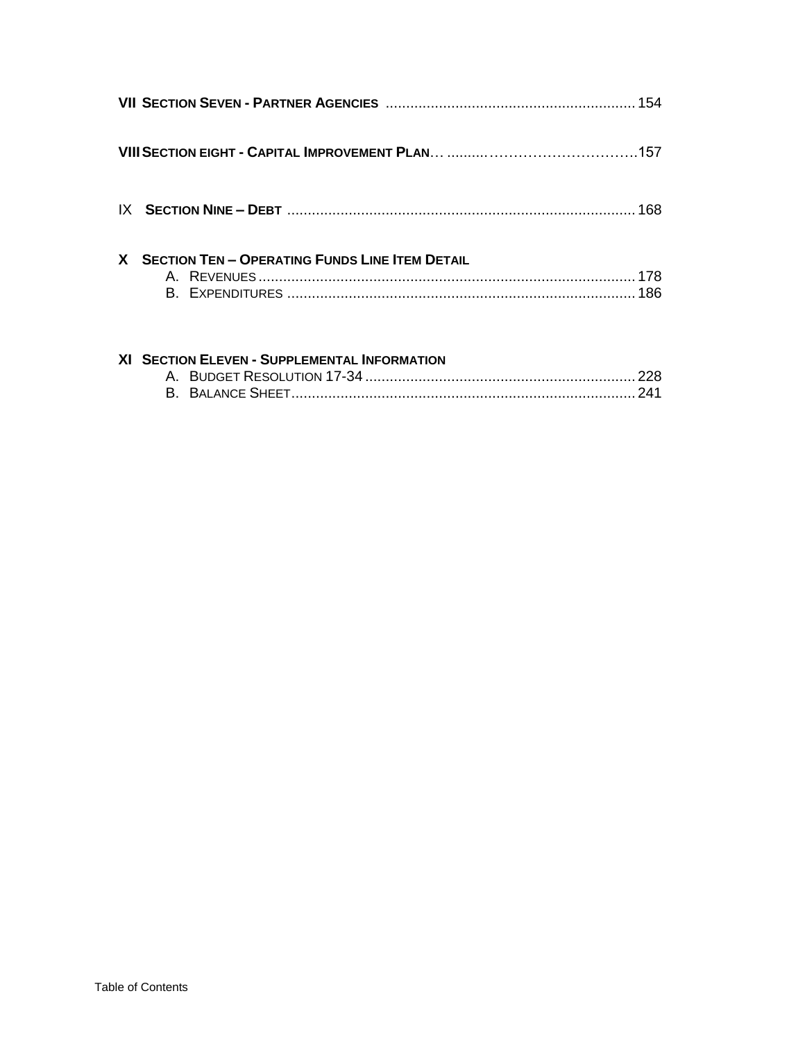| X SECTION TEN - OPERATING FUNDS LINE ITEM DETAIL |  |
|--------------------------------------------------|--|

#### XI SECTION ELEVEN - SUPPLEMENTAL INFORMATION